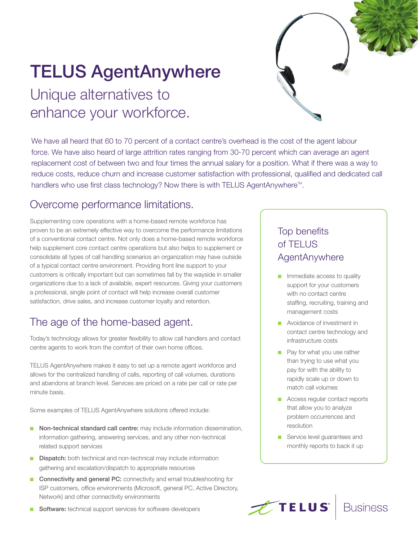# TELUS AgentAnywhere

# Unique alternatives to enhance your workforce.

We have all heard that 60 to 70 percent of a contact centre's overhead is the cost of the agent labour force. We have also heard of large attrition rates ranging from 30-70 percent which can average an agent replacement cost of between two and four times the annual salary for a position. What if there was a way to reduce costs, reduce churn and increase customer satisfaction with professional, qualified and dedicated call handlers who use first class technology? Now there is with TELUS AgentAnywhere<sup>™</sup>.

#### Overcome performance limitations.

Supplementing core operations with a home-based remote workforce has proven to be an extremely effective way to overcome the performance limitations of a conventional contact centre. Not only does a home-based remote workforce help supplement core contact centre operations but also helps to supplement or consolidate all types of call handling scenarios an organization may have outside of a typical contact centre environment. Providing front line support to your customers is critically important but can sometimes fall by the wayside in smaller organizations due to a lack of available, expert resources. Giving your customers a professional, single point of contact will help increase overall customer satisfaction, drive sales, and increase customer loyalty and retention.

# The age of the home-based agent.

Today's technology allows for greater flexibility to allow call handlers and contact centre agents to work from the comfort of their own home offices.

TELUS AgentAnywhere makes it easy to set up a remote agent workforce and allows for the centralized handling of calls, reporting of call volumes, durations and abandons at branch level. Services are priced on a rate per call or rate per minute basis.

Some examples of TELUS AgentAnywhere solutions offered include:

- Non-technical standard call centre: may include information dissemination, information gathering, answering services, and any other non-technical related support services
- Dispatch: both technical and non-technical may include information gathering and escalation/dispatch to appropriate resources
- Connectivity and general PC: connectivity and email troubleshooting for ISP customers, office environments (Microsoft, general PC, Active Directory, Network) and other connectivity environments
- Software: technical support services for software developers

## Top benefits of TELUS **AgentAnywhere**

- Immediate access to quality support for your customers with no contact centre staffing, recruiting, training and management costs
- Avoidance of investment in contact centre technology and infrastructure costs
- Pay for what you use rather than trying to use what you pay for with the ability to rapidly scale up or down to match call volumes
- Access regular contact reports that allow you to analyze problem occurrences and resolution
- Service level guarantees and monthly reports to back it up



**Business**